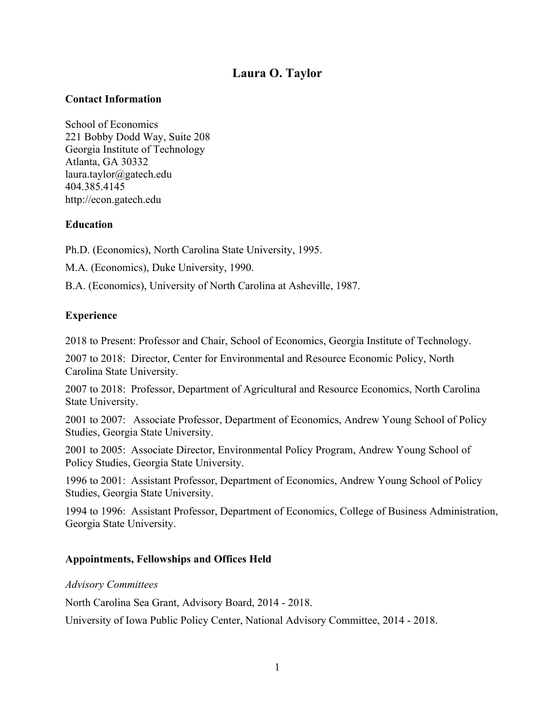# **Laura O. Taylor**

## **Contact Information**

School of Economics 221 Bobby Dodd Way, Suite 208 Georgia Institute of Technology Atlanta, GA 30332 laura.taylor@gatech.edu 404.385.4145 http://econ.gatech.edu

# **Education**

Ph.D. (Economics), North Carolina State University, 1995.

M.A. (Economics), Duke University, 1990.

B.A. (Economics), University of North Carolina at Asheville, 1987.

### **Experience**

2018 to Present: Professor and Chair, School of Economics, Georgia Institute of Technology.

2007 to 2018: Director, Center for Environmental and Resource Economic Policy, North Carolina State University.

2007 to 2018: Professor, Department of Agricultural and Resource Economics, North Carolina State University.

2001 to 2007: Associate Professor, Department of Economics, Andrew Young School of Policy Studies, Georgia State University.

2001 to 2005: Associate Director, Environmental Policy Program, Andrew Young School of Policy Studies, Georgia State University.

1996 to 2001: Assistant Professor, Department of Economics, Andrew Young School of Policy Studies, Georgia State University.

1994 to 1996: Assistant Professor, Department of Economics, College of Business Administration, Georgia State University.

#### **Appointments, Fellowships and Offices Held**

#### *Advisory Committees*

North Carolina Sea Grant, Advisory Board, 2014 - 2018.

University of Iowa Public Policy Center, National Advisory Committee, 2014 - 2018.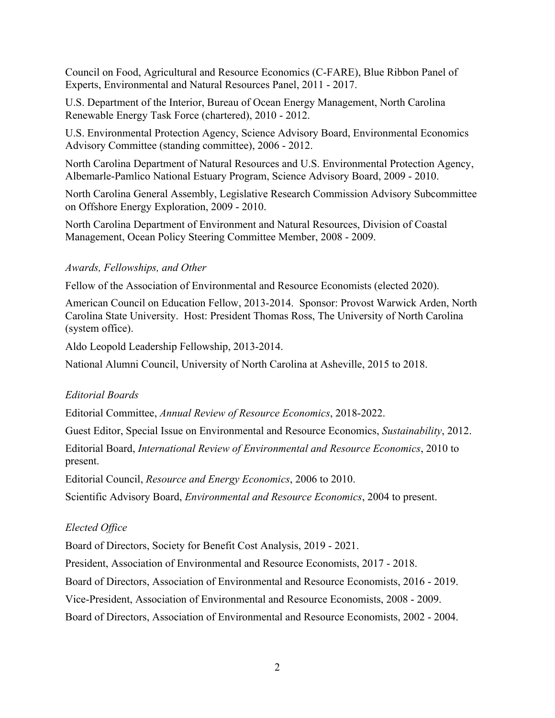Council on Food, Agricultural and Resource Economics (C-FARE), Blue Ribbon Panel of Experts, Environmental and Natural Resources Panel, 2011 - 2017.

U.S. Department of the Interior, Bureau of Ocean Energy Management, North Carolina Renewable Energy Task Force (chartered), 2010 - 2012.

U.S. Environmental Protection Agency, Science Advisory Board, Environmental Economics Advisory Committee (standing committee), 2006 - 2012.

North Carolina Department of Natural Resources and U.S. Environmental Protection Agency, Albemarle-Pamlico National Estuary Program, Science Advisory Board, 2009 - 2010.

North Carolina General Assembly, Legislative Research Commission Advisory Subcommittee on Offshore Energy Exploration, 2009 - 2010.

North Carolina Department of Environment and Natural Resources, Division of Coastal Management, Ocean Policy Steering Committee Member, 2008 - 2009.

### *Awards, Fellowships, and Other*

Fellow of the Association of Environmental and Resource Economists (elected 2020).

American Council on Education Fellow, 2013-2014. Sponsor: Provost Warwick Arden, North Carolina State University. Host: President Thomas Ross, The University of North Carolina (system office).

Aldo Leopold Leadership Fellowship, 2013-2014.

National Alumni Council, University of North Carolina at Asheville, 2015 to 2018.

# *Editorial Boards*

Editorial Committee, *Annual Review of Resource Economics*, 2018-2022.

Guest Editor, Special Issue on Environmental and Resource Economics, *Sustainability*, 2012.

Editorial Board, *International Review of Environmental and Resource Economics*, 2010 to present.

Editorial Council, *Resource and Energy Economics*, 2006 to 2010.

Scientific Advisory Board, *Environmental and Resource Economics*, 2004 to present.

# *Elected Office*

Board of Directors, Society for Benefit Cost Analysis, 2019 - 2021.

President, Association of Environmental and Resource Economists, 2017 - 2018.

Board of Directors, Association of Environmental and Resource Economists, 2016 - 2019.

Vice-President, Association of Environmental and Resource Economists, 2008 - 2009.

Board of Directors, Association of Environmental and Resource Economists, 2002 - 2004.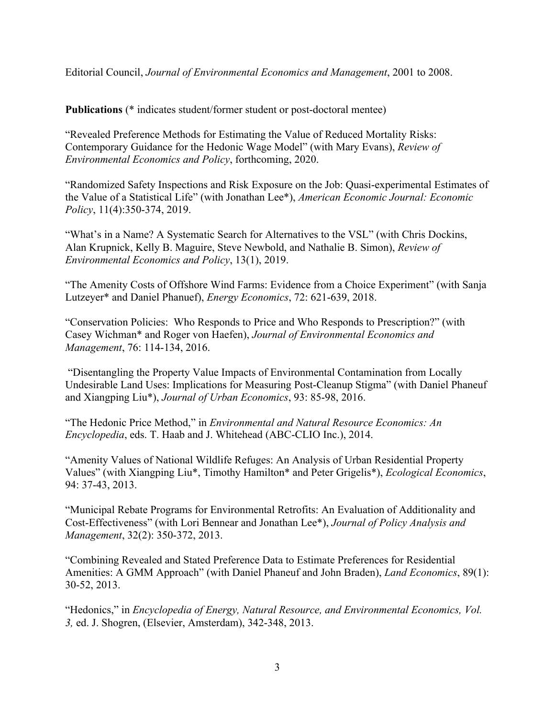Editorial Council, *Journal of Environmental Economics and Management*, 2001 to 2008.

**Publications** (\* indicates student/former student or post-doctoral mentee)

"Revealed Preference Methods for Estimating the Value of Reduced Mortality Risks: Contemporary Guidance for the Hedonic Wage Model" (with Mary Evans), *Review of Environmental Economics and Policy*, forthcoming, 2020.

"Randomized Safety Inspections and Risk Exposure on the Job: Quasi-experimental Estimates of the Value of a Statistical Life" (with Jonathan Lee\*), *American Economic Journal: Economic Policy*, 11(4):350-374, 2019.

"What's in a Name? A Systematic Search for Alternatives to the VSL" (with Chris Dockins, Alan Krupnick, Kelly B. Maguire, Steve Newbold, and Nathalie B. Simon), *Review of Environmental Economics and Policy*, 13(1), 2019.

"The Amenity Costs of Offshore Wind Farms: Evidence from a Choice Experiment" (with Sanja Lutzeyer\* and Daniel Phanuef), *Energy Economics*, 72: 621-639, 2018.

"Conservation Policies: Who Responds to Price and Who Responds to Prescription?" (with Casey Wichman\* and Roger von Haefen), *Journal of Environmental Economics and Management*, 76: 114-134, 2016.

"Disentangling the Property Value Impacts of Environmental Contamination from Locally Undesirable Land Uses: Implications for Measuring Post-Cleanup Stigma" (with Daniel Phaneuf and Xiangping Liu\*), *Journal of Urban Economics*, 93: 85-98, 2016.

"The Hedonic Price Method," in *Environmental and Natural Resource Economics: An Encyclopedia*, eds. T. Haab and J. Whitehead (ABC-CLIO Inc.), 2014.

"Amenity Values of National Wildlife Refuges: An Analysis of Urban Residential Property Values" (with Xiangping Liu\*, Timothy Hamilton\* and Peter Grigelis\*), *Ecological Economics*, 94: 37-43, 2013.

"Municipal Rebate Programs for Environmental Retrofits: An Evaluation of Additionality and Cost-Effectiveness" (with Lori Bennear and Jonathan Lee\*), *Journal of Policy Analysis and Management*, 32(2): 350-372, 2013.

"Combining Revealed and Stated Preference Data to Estimate Preferences for Residential Amenities: A GMM Approach" (with Daniel Phaneuf and John Braden), *Land Economics*, 89(1): 30-52, 2013.

"Hedonics," in *Encyclopedia of Energy, Natural Resource, and Environmental Economics, Vol. 3,* ed. J. Shogren, (Elsevier, Amsterdam), 342-348, 2013.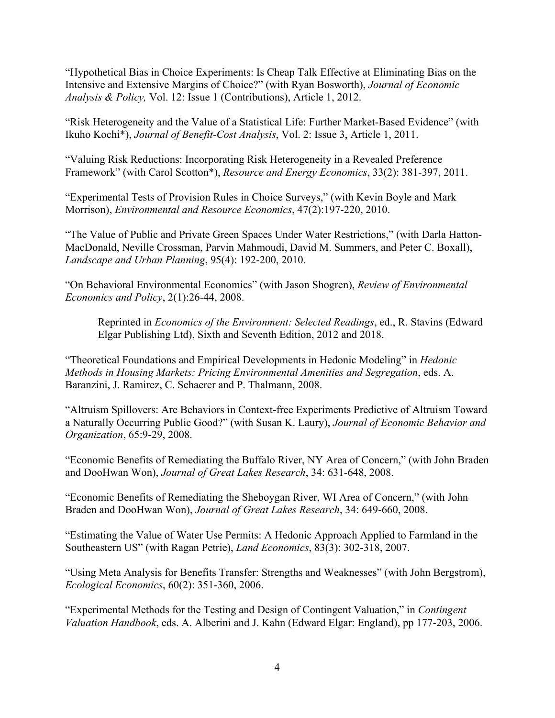"Hypothetical Bias in Choice Experiments: Is Cheap Talk Effective at Eliminating Bias on the Intensive and Extensive Margins of Choice?" (with Ryan Bosworth), *Journal of Economic Analysis & Policy,* Vol. 12: Issue 1 (Contributions), Article 1, 2012.

"Risk Heterogeneity and the Value of a Statistical Life: Further Market-Based Evidence" (with Ikuho Kochi\*), *Journal of Benefit-Cost Analysis*, Vol. 2: Issue 3, Article 1, 2011.

"Valuing Risk Reductions: Incorporating Risk Heterogeneity in a Revealed Preference Framework" (with Carol Scotton\*), *Resource and Energy Economics*, 33(2): 381-397, 2011.

"Experimental Tests of Provision Rules in Choice Surveys," (with Kevin Boyle and Mark Morrison), *Environmental and Resource Economics*, 47(2):197-220, 2010.

"The Value of Public and Private Green Spaces Under Water Restrictions," (with Darla Hatton-MacDonald, Neville Crossman, Parvin Mahmoudi, David M. Summers, and Peter C. Boxall), *Landscape and Urban Planning*, 95(4): 192-200, 2010.

"On Behavioral Environmental Economics" (with Jason Shogren), *Review of Environmental Economics and Policy*, 2(1):26-44, 2008.

Reprinted in *Economics of the Environment: Selected Readings*, ed., R. Stavins (Edward Elgar Publishing Ltd), Sixth and Seventh Edition, 2012 and 2018.

"Theoretical Foundations and Empirical Developments in Hedonic Modeling" in *Hedonic Methods in Housing Markets: Pricing Environmental Amenities and Segregation*, eds. A. Baranzini, J. Ramirez, C. Schaerer and P. Thalmann, 2008.

"Altruism Spillovers: Are Behaviors in Context-free Experiments Predictive of Altruism Toward a Naturally Occurring Public Good?" (with Susan K. Laury), *Journal of Economic Behavior and Organization*, 65:9-29, 2008.

"Economic Benefits of Remediating the Buffalo River, NY Area of Concern," (with John Braden and DooHwan Won), *Journal of Great Lakes Research*, 34: 631-648, 2008.

"Economic Benefits of Remediating the Sheboygan River, WI Area of Concern," (with John Braden and DooHwan Won), *Journal of Great Lakes Research*, 34: 649-660, 2008.

"Estimating the Value of Water Use Permits: A Hedonic Approach Applied to Farmland in the Southeastern US" (with Ragan Petrie), *Land Economics*, 83(3): 302-318, 2007.

"Using Meta Analysis for Benefits Transfer: Strengths and Weaknesses" (with John Bergstrom), *Ecological Economics*, 60(2): 351-360, 2006.

"Experimental Methods for the Testing and Design of Contingent Valuation," in *Contingent Valuation Handbook*, eds. A. Alberini and J. Kahn (Edward Elgar: England), pp 177-203, 2006.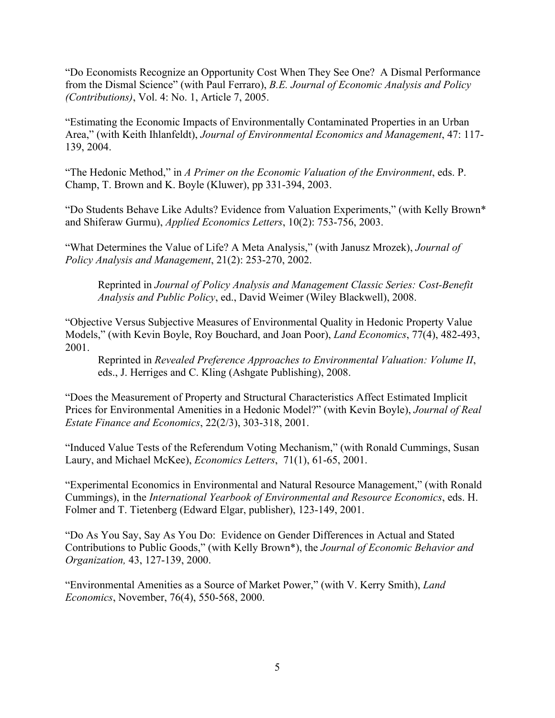"Do Economists Recognize an Opportunity Cost When They See One? A Dismal Performance from the Dismal Science" (with Paul Ferraro), *B.E. Journal of Economic Analysis and Policy (Contributions)*, Vol. 4: No. 1, Article 7, 2005.

"Estimating the Economic Impacts of Environmentally Contaminated Properties in an Urban Area," (with Keith Ihlanfeldt), *Journal of Environmental Economics and Management*, 47: 117- 139, 2004.

"The Hedonic Method," in *A Primer on the Economic Valuation of the Environment*, eds. P. Champ, T. Brown and K. Boyle (Kluwer), pp 331-394, 2003.

"Do Students Behave Like Adults? Evidence from Valuation Experiments," (with Kelly Brown\* and Shiferaw Gurmu), *Applied Economics Letters*, 10(2): 753-756, 2003.

"What Determines the Value of Life? A Meta Analysis," (with Janusz Mrozek), *Journal of Policy Analysis and Management*, 21(2): 253-270, 2002.

Reprinted in *Journal of Policy Analysis and Management Classic Series: Cost-Benefit Analysis and Public Policy*, ed., David Weimer (Wiley Blackwell), 2008.

"Objective Versus Subjective Measures of Environmental Quality in Hedonic Property Value Models," (with Kevin Boyle, Roy Bouchard, and Joan Poor), *Land Economics*, 77(4), 482-493, 2001.

Reprinted in *Revealed Preference Approaches to Environmental Valuation: Volume II*, eds., J. Herriges and C. Kling (Ashgate Publishing), 2008.

"Does the Measurement of Property and Structural Characteristics Affect Estimated Implicit Prices for Environmental Amenities in a Hedonic Model?" (with Kevin Boyle), *Journal of Real Estate Finance and Economics*, 22(2/3), 303-318, 2001.

"Induced Value Tests of the Referendum Voting Mechanism," (with Ronald Cummings, Susan Laury, and Michael McKee), *Economics Letters*, 71(1), 61-65, 2001.

"Experimental Economics in Environmental and Natural Resource Management," (with Ronald Cummings), in the *International Yearbook of Environmental and Resource Economics*, eds. H. Folmer and T. Tietenberg (Edward Elgar, publisher), 123-149, 2001.

"Do As You Say, Say As You Do: Evidence on Gender Differences in Actual and Stated Contributions to Public Goods," (with Kelly Brown\*), the *Journal of Economic Behavior and Organization,* 43, 127-139, 2000.

"Environmental Amenities as a Source of Market Power," (with V. Kerry Smith), *Land Economics*, November, 76(4), 550-568, 2000.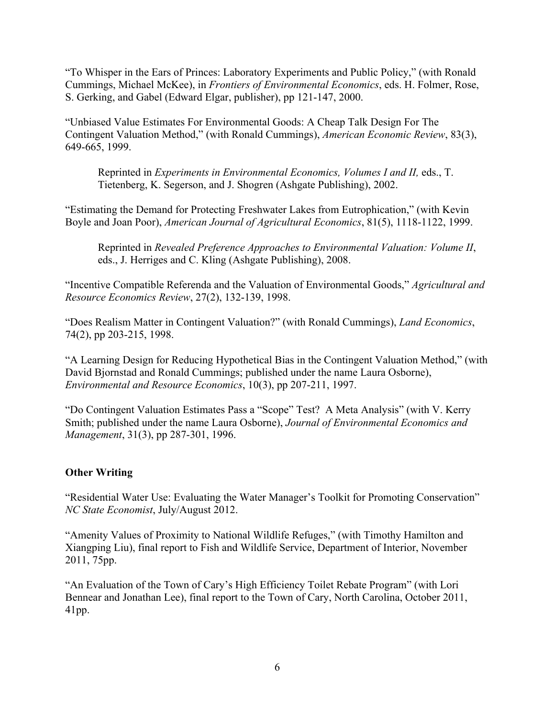"To Whisper in the Ears of Princes: Laboratory Experiments and Public Policy," (with Ronald Cummings, Michael McKee), in *Frontiers of Environmental Economics*, eds. H. Folmer, Rose, S. Gerking, and Gabel (Edward Elgar, publisher), pp 121-147, 2000.

"Unbiased Value Estimates For Environmental Goods: A Cheap Talk Design For The Contingent Valuation Method," (with Ronald Cummings), *American Economic Review*, 83(3), 649-665, 1999.

Reprinted in *Experiments in Environmental Economics, Volumes I and II,* eds., T. Tietenberg, K. Segerson, and J. Shogren (Ashgate Publishing), 2002.

"Estimating the Demand for Protecting Freshwater Lakes from Eutrophication," (with Kevin Boyle and Joan Poor), *American Journal of Agricultural Economics*, 81(5), 1118-1122, 1999.

Reprinted in *Revealed Preference Approaches to Environmental Valuation: Volume II*, eds., J. Herriges and C. Kling (Ashgate Publishing), 2008.

"Incentive Compatible Referenda and the Valuation of Environmental Goods," *Agricultural and Resource Economics Review*, 27(2), 132-139, 1998.

"Does Realism Matter in Contingent Valuation?" (with Ronald Cummings), *Land Economics*, 74(2), pp 203-215, 1998.

"A Learning Design for Reducing Hypothetical Bias in the Contingent Valuation Method," (with David Bjornstad and Ronald Cummings; published under the name Laura Osborne), *Environmental and Resource Economics*, 10(3), pp 207-211, 1997.

"Do Contingent Valuation Estimates Pass a "Scope" Test? A Meta Analysis" (with V. Kerry Smith; published under the name Laura Osborne), *Journal of Environmental Economics and Management*, 31(3), pp 287-301, 1996.

# **Other Writing**

"Residential Water Use: Evaluating the Water Manager's Toolkit for Promoting Conservation" *NC State Economist*, July/August 2012.

"Amenity Values of Proximity to National Wildlife Refuges," (with Timothy Hamilton and Xiangping Liu), final report to Fish and Wildlife Service, Department of Interior, November 2011, 75pp.

"An Evaluation of the Town of Cary's High Efficiency Toilet Rebate Program" (with Lori Bennear and Jonathan Lee), final report to the Town of Cary, North Carolina, October 2011, 41pp.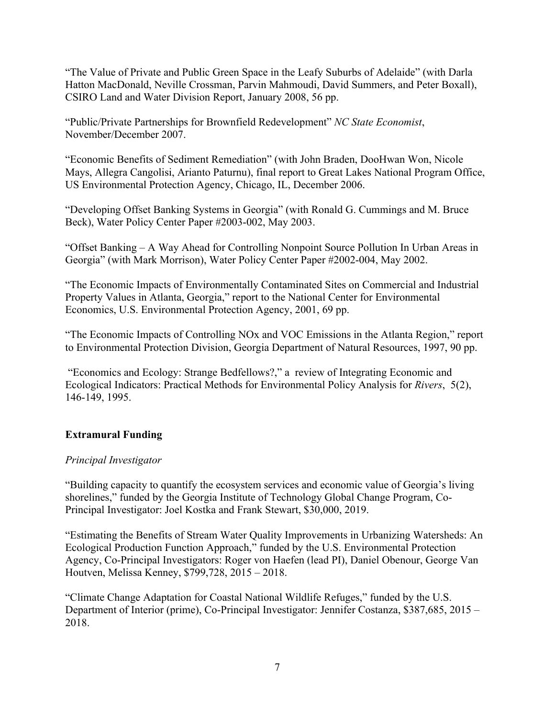"The Value of Private and Public Green Space in the Leafy Suburbs of Adelaide" (with Darla Hatton MacDonald, Neville Crossman, Parvin Mahmoudi, David Summers, and Peter Boxall), CSIRO Land and Water Division Report, January 2008, 56 pp.

"Public/Private Partnerships for Brownfield Redevelopment" *NC State Economist*, November/December 2007.

"Economic Benefits of Sediment Remediation" (with John Braden, DooHwan Won, Nicole Mays, Allegra Cangolisi, Arianto Paturnu), final report to Great Lakes National Program Office, US Environmental Protection Agency, Chicago, IL, December 2006.

"Developing Offset Banking Systems in Georgia" (with Ronald G. Cummings and M. Bruce Beck), Water Policy Center Paper #2003-002, May 2003.

"Offset Banking – A Way Ahead for Controlling Nonpoint Source Pollution In Urban Areas in Georgia" (with Mark Morrison), Water Policy Center Paper #2002-004, May 2002.

"The Economic Impacts of Environmentally Contaminated Sites on Commercial and Industrial Property Values in Atlanta, Georgia," report to the National Center for Environmental Economics, U.S. Environmental Protection Agency, 2001, 69 pp.

"The Economic Impacts of Controlling NOx and VOC Emissions in the Atlanta Region," report to Environmental Protection Division, Georgia Department of Natural Resources, 1997, 90 pp.

"Economics and Ecology: Strange Bedfellows?," a review of Integrating Economic and Ecological Indicators: Practical Methods for Environmental Policy Analysis for *Rivers*, 5(2), 146-149, 1995.

# **Extramural Funding**

#### *Principal Investigator*

"Building capacity to quantify the ecosystem services and economic value of Georgia's living shorelines," funded by the Georgia Institute of Technology Global Change Program, Co-Principal Investigator: Joel Kostka and Frank Stewart, \$30,000, 2019.

"Estimating the Benefits of Stream Water Quality Improvements in Urbanizing Watersheds: An Ecological Production Function Approach," funded by the U.S. Environmental Protection Agency, Co-Principal Investigators: Roger von Haefen (lead PI), Daniel Obenour, George Van Houtven, Melissa Kenney, \$799,728, 2015 – 2018.

"Climate Change Adaptation for Coastal National Wildlife Refuges," funded by the U.S. Department of Interior (prime), Co-Principal Investigator: Jennifer Costanza, \$387,685, 2015 – 2018.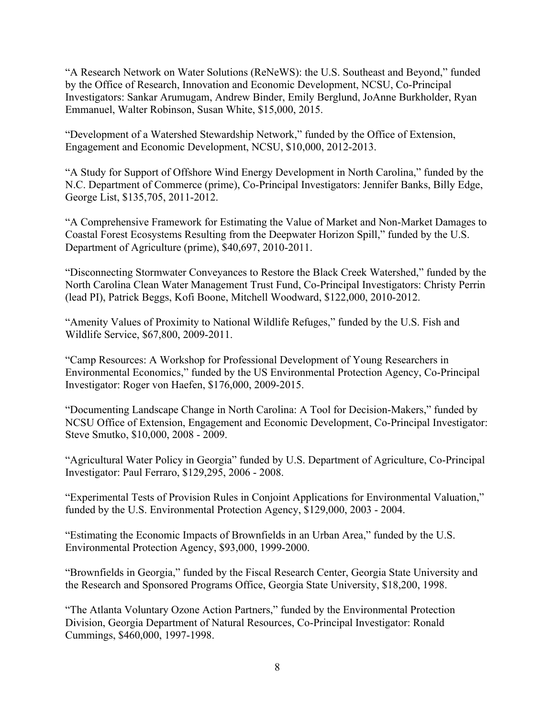"A Research Network on Water Solutions (ReNeWS): the U.S. Southeast and Beyond," funded by the Office of Research, Innovation and Economic Development, NCSU, Co-Principal Investigators: Sankar Arumugam, Andrew Binder, Emily Berglund, JoAnne Burkholder, Ryan Emmanuel, Walter Robinson, Susan White, \$15,000, 2015.

"Development of a Watershed Stewardship Network," funded by the Office of Extension, Engagement and Economic Development, NCSU, \$10,000, 2012-2013.

"A Study for Support of Offshore Wind Energy Development in North Carolina," funded by the N.C. Department of Commerce (prime), Co-Principal Investigators: Jennifer Banks, Billy Edge, George List, \$135,705, 2011-2012.

"A Comprehensive Framework for Estimating the Value of Market and Non-Market Damages to Coastal Forest Ecosystems Resulting from the Deepwater Horizon Spill," funded by the U.S. Department of Agriculture (prime), \$40,697, 2010-2011.

"Disconnecting Stormwater Conveyances to Restore the Black Creek Watershed," funded by the North Carolina Clean Water Management Trust Fund, Co-Principal Investigators: Christy Perrin (lead PI), Patrick Beggs, Kofi Boone, Mitchell Woodward, \$122,000, 2010-2012.

"Amenity Values of Proximity to National Wildlife Refuges," funded by the U.S. Fish and Wildlife Service, \$67,800, 2009-2011.

"Camp Resources: A Workshop for Professional Development of Young Researchers in Environmental Economics," funded by the US Environmental Protection Agency, Co-Principal Investigator: Roger von Haefen, \$176,000, 2009-2015.

"Documenting Landscape Change in North Carolina: A Tool for Decision-Makers," funded by NCSU Office of Extension, Engagement and Economic Development, Co-Principal Investigator: Steve Smutko, \$10,000, 2008 - 2009.

"Agricultural Water Policy in Georgia" funded by U.S. Department of Agriculture, Co-Principal Investigator: Paul Ferraro, \$129,295, 2006 - 2008.

"Experimental Tests of Provision Rules in Conjoint Applications for Environmental Valuation," funded by the U.S. Environmental Protection Agency, \$129,000, 2003 - 2004.

"Estimating the Economic Impacts of Brownfields in an Urban Area," funded by the U.S. Environmental Protection Agency, \$93,000, 1999-2000.

"Brownfields in Georgia," funded by the Fiscal Research Center, Georgia State University and the Research and Sponsored Programs Office, Georgia State University, \$18,200, 1998.

"The Atlanta Voluntary Ozone Action Partners," funded by the Environmental Protection Division, Georgia Department of Natural Resources, Co-Principal Investigator: Ronald Cummings, \$460,000, 1997-1998.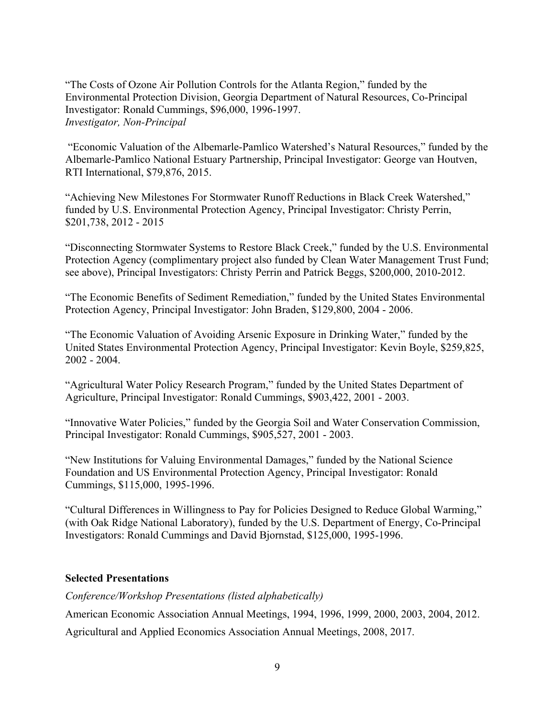"The Costs of Ozone Air Pollution Controls for the Atlanta Region," funded by the Environmental Protection Division, Georgia Department of Natural Resources, Co-Principal Investigator: Ronald Cummings, \$96,000, 1996-1997. *Investigator, Non-Principal*

"Economic Valuation of the Albemarle-Pamlico Watershed's Natural Resources," funded by the Albemarle-Pamlico National Estuary Partnership, Principal Investigator: George van Houtven, RTI International, \$79,876, 2015.

"Achieving New Milestones For Stormwater Runoff Reductions in Black Creek Watershed," funded by U.S. Environmental Protection Agency, Principal Investigator: Christy Perrin, \$201,738, 2012 - 2015

"Disconnecting Stormwater Systems to Restore Black Creek," funded by the U.S. Environmental Protection Agency (complimentary project also funded by Clean Water Management Trust Fund; see above), Principal Investigators: Christy Perrin and Patrick Beggs, \$200,000, 2010-2012.

"The Economic Benefits of Sediment Remediation," funded by the United States Environmental Protection Agency, Principal Investigator: John Braden, \$129,800, 2004 - 2006.

"The Economic Valuation of Avoiding Arsenic Exposure in Drinking Water," funded by the United States Environmental Protection Agency, Principal Investigator: Kevin Boyle, \$259,825, 2002 - 2004.

"Agricultural Water Policy Research Program," funded by the United States Department of Agriculture, Principal Investigator: Ronald Cummings, \$903,422, 2001 - 2003.

"Innovative Water Policies," funded by the Georgia Soil and Water Conservation Commission, Principal Investigator: Ronald Cummings, \$905,527, 2001 - 2003.

"New Institutions for Valuing Environmental Damages," funded by the National Science Foundation and US Environmental Protection Agency, Principal Investigator: Ronald Cummings, \$115,000, 1995-1996.

"Cultural Differences in Willingness to Pay for Policies Designed to Reduce Global Warming," (with Oak Ridge National Laboratory), funded by the U.S. Department of Energy, Co-Principal Investigators: Ronald Cummings and David Bjornstad, \$125,000, 1995-1996.

#### **Selected Presentations**

*Conference/Workshop Presentations (listed alphabetically)*

American Economic Association Annual Meetings, 1994, 1996, 1999, 2000, 2003, 2004, 2012.

Agricultural and Applied Economics Association Annual Meetings, 2008, 2017.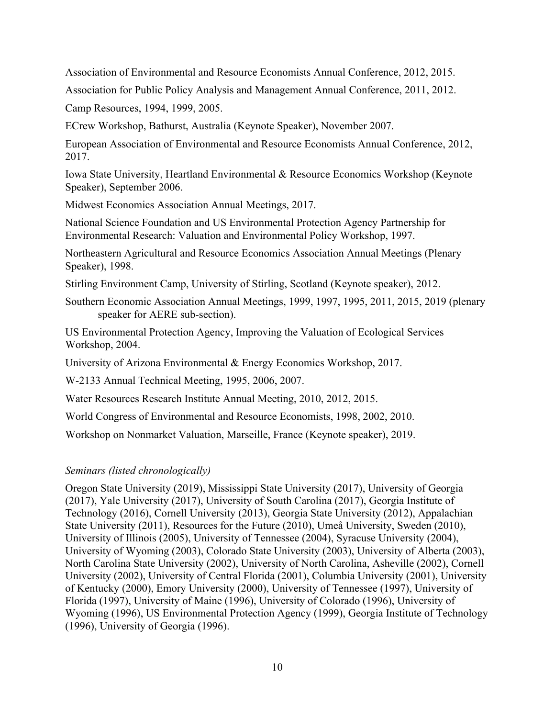Association of Environmental and Resource Economists Annual Conference, 2012, 2015.

Association for Public Policy Analysis and Management Annual Conference, 2011, 2012.

Camp Resources, 1994, 1999, 2005.

ECrew Workshop, Bathurst, Australia (Keynote Speaker), November 2007.

European Association of Environmental and Resource Economists Annual Conference, 2012, 2017.

Iowa State University, Heartland Environmental & Resource Economics Workshop (Keynote Speaker), September 2006.

Midwest Economics Association Annual Meetings, 2017.

National Science Foundation and US Environmental Protection Agency Partnership for Environmental Research: Valuation and Environmental Policy Workshop, 1997.

Northeastern Agricultural and Resource Economics Association Annual Meetings (Plenary Speaker), 1998.

Stirling Environment Camp, University of Stirling, Scotland (Keynote speaker), 2012.

Southern Economic Association Annual Meetings, 1999, 1997, 1995, 2011, 2015, 2019 (plenary speaker for AERE sub-section).

US Environmental Protection Agency, Improving the Valuation of Ecological Services Workshop, 2004.

University of Arizona Environmental & Energy Economics Workshop, 2017.

W-2133 Annual Technical Meeting, 1995, 2006, 2007.

Water Resources Research Institute Annual Meeting, 2010, 2012, 2015.

World Congress of Environmental and Resource Economists, 1998, 2002, 2010.

Workshop on Nonmarket Valuation, Marseille, France (Keynote speaker), 2019.

#### *Seminars (listed chronologically)*

Oregon State University (2019), Mississippi State University (2017), University of Georgia (2017), Yale University (2017), University of South Carolina (2017), Georgia Institute of Technology (2016), Cornell University (2013), Georgia State University (2012), Appalachian State University (2011), Resources for the Future (2010), Umeå University, Sweden (2010), University of Illinois (2005), University of Tennessee (2004), Syracuse University (2004), University of Wyoming (2003), Colorado State University (2003), University of Alberta (2003), North Carolina State University (2002), University of North Carolina, Asheville (2002), Cornell University (2002), University of Central Florida (2001), Columbia University (2001), University of Kentucky (2000), Emory University (2000), University of Tennessee (1997), University of Florida (1997), University of Maine (1996), University of Colorado (1996), University of Wyoming (1996), US Environmental Protection Agency (1999), Georgia Institute of Technology (1996), University of Georgia (1996).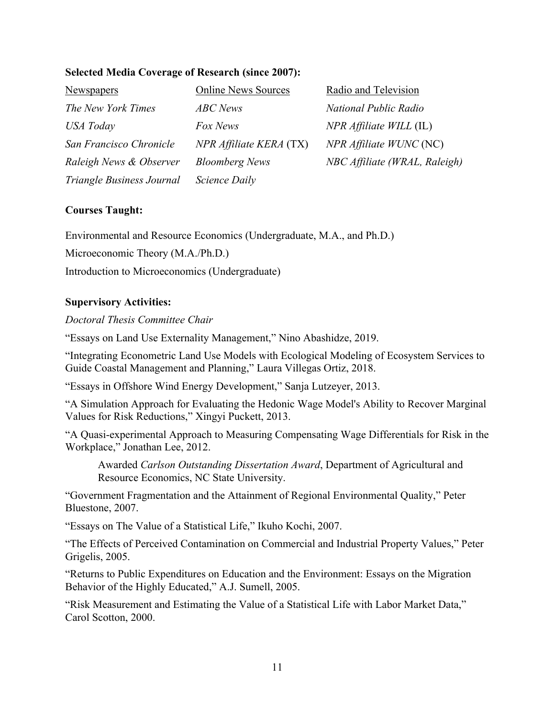| <b>Selected Media Coverage of Research (since 2007):</b> |  |  |  |
|----------------------------------------------------------|--|--|--|
|----------------------------------------------------------|--|--|--|

| <b>Newspapers</b>         | <b>Online News Sources</b> | Radio and Television               |
|---------------------------|----------------------------|------------------------------------|
| The New York Times        | <b>ABC</b> News            | National Public Radio              |
| USA Today                 | Fox News                   | $NPR \textit{Affiliate WILL (IL)}$ |
| San Francisco Chronicle   | NPR Affiliate KERA (TX)    | NPR Affiliate WUNC (NC)            |
| Raleigh News & Observer   | <b>Bloomberg News</b>      | NBC Affiliate (WRAL, Raleigh)      |
| Triangle Business Journal | Science Daily              |                                    |

#### **Courses Taught:**

Environmental and Resource Economics (Undergraduate, M.A., and Ph.D.)

Microeconomic Theory (M.A./Ph.D.)

Introduction to Microeconomics (Undergraduate)

#### **Supervisory Activities:**

#### *Doctoral Thesis Committee Chair*

"Essays on Land Use Externality Management," Nino Abashidze, 2019.

"Integrating Econometric Land Use Models with Ecological Modeling of Ecosystem Services to Guide Coastal Management and Planning," Laura Villegas Ortiz, 2018.

"Essays in Offshore Wind Energy Development," Sanja Lutzeyer, 2013.

"A Simulation Approach for Evaluating the Hedonic Wage Model's Ability to Recover Marginal Values for Risk Reductions," Xingyi Puckett, 2013.

"A Quasi-experimental Approach to Measuring Compensating Wage Differentials for Risk in the Workplace," Jonathan Lee, 2012.

Awarded *Carlson Outstanding Dissertation Award*, Department of Agricultural and Resource Economics, NC State University.

"Government Fragmentation and the Attainment of Regional Environmental Quality," Peter Bluestone, 2007.

"Essays on The Value of a Statistical Life," Ikuho Kochi, 2007.

"The Effects of Perceived Contamination on Commercial and Industrial Property Values," Peter Grigelis, 2005.

"Returns to Public Expenditures on Education and the Environment: Essays on the Migration Behavior of the Highly Educated," A.J. Sumell, 2005.

"Risk Measurement and Estimating the Value of a Statistical Life with Labor Market Data," Carol Scotton, 2000.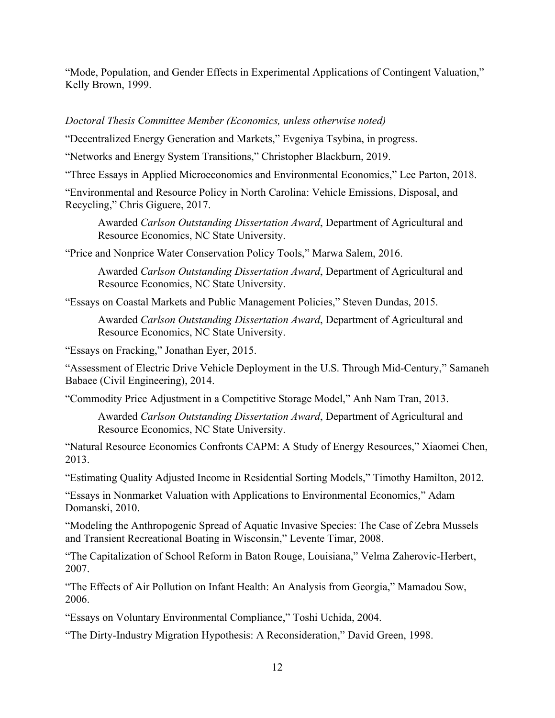"Mode, Population, and Gender Effects in Experimental Applications of Contingent Valuation," Kelly Brown, 1999.

# *Doctoral Thesis Committee Member (Economics, unless otherwise noted)*

"Decentralized Energy Generation and Markets," Evgeniya Tsybina, in progress.

"Networks and Energy System Transitions," Christopher Blackburn, 2019.

"Three Essays in Applied Microeconomics and Environmental Economics," Lee Parton, 2018.

"Environmental and Resource Policy in North Carolina: Vehicle Emissions, Disposal, and Recycling," Chris Giguere, 2017.

Awarded *Carlson Outstanding Dissertation Award*, Department of Agricultural and Resource Economics, NC State University.

"Price and Nonprice Water Conservation Policy Tools," Marwa Salem, 2016.

Awarded *Carlson Outstanding Dissertation Award*, Department of Agricultural and Resource Economics, NC State University.

"Essays on Coastal Markets and Public Management Policies," Steven Dundas, 2015.

Awarded *Carlson Outstanding Dissertation Award*, Department of Agricultural and Resource Economics, NC State University.

"Essays on Fracking," Jonathan Eyer, 2015.

"Assessment of Electric Drive Vehicle Deployment in the U.S. Through Mid-Century," Samaneh Babaee (Civil Engineering), 2014.

"Commodity Price Adjustment in a Competitive Storage Model," Anh Nam Tran, 2013.

Awarded *Carlson Outstanding Dissertation Award*, Department of Agricultural and Resource Economics, NC State University.

"Natural Resource Economics Confronts CAPM: A Study of Energy Resources," Xiaomei Chen, 2013.

"Estimating Quality Adjusted Income in Residential Sorting Models," Timothy Hamilton, 2012.

"Essays in Nonmarket Valuation with Applications to Environmental Economics," Adam Domanski, 2010.

"Modeling the Anthropogenic Spread of Aquatic Invasive Species: The Case of Zebra Mussels and Transient Recreational Boating in Wisconsin," Levente Timar, 2008.

"The Capitalization of School Reform in Baton Rouge, Louisiana," Velma Zaherovic-Herbert, 2007.

"The Effects of Air Pollution on Infant Health: An Analysis from Georgia," Mamadou Sow, 2006.

"Essays on Voluntary Environmental Compliance," Toshi Uchida, 2004.

"The Dirty-Industry Migration Hypothesis: A Reconsideration," David Green, 1998.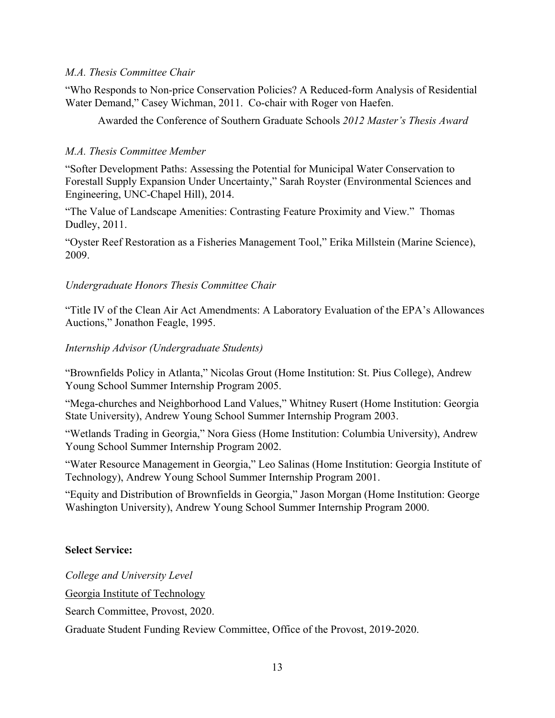### *M.A. Thesis Committee Chair*

"Who Responds to Non-price Conservation Policies? A Reduced-form Analysis of Residential Water Demand," Casey Wichman, 2011. Co-chair with Roger von Haefen.

Awarded the Conference of Southern Graduate Schools *2012 Master's Thesis Award*

## *M.A. Thesis Committee Member*

"Softer Development Paths: Assessing the Potential for Municipal Water Conservation to Forestall Supply Expansion Under Uncertainty," Sarah Royster (Environmental Sciences and Engineering, UNC-Chapel Hill), 2014.

"The Value of Landscape Amenities: Contrasting Feature Proximity and View." Thomas Dudley, 2011.

"Oyster Reef Restoration as a Fisheries Management Tool," Erika Millstein (Marine Science), 2009.

### *Undergraduate Honors Thesis Committee Chair*

"Title IV of the Clean Air Act Amendments: A Laboratory Evaluation of the EPA's Allowances Auctions," Jonathon Feagle, 1995.

### *Internship Advisor (Undergraduate Students)*

"Brownfields Policy in Atlanta," Nicolas Grout (Home Institution: St. Pius College), Andrew Young School Summer Internship Program 2005.

"Mega-churches and Neighborhood Land Values," Whitney Rusert (Home Institution: Georgia State University), Andrew Young School Summer Internship Program 2003.

"Wetlands Trading in Georgia," Nora Giess (Home Institution: Columbia University), Andrew Young School Summer Internship Program 2002.

"Water Resource Management in Georgia," Leo Salinas (Home Institution: Georgia Institute of Technology), Andrew Young School Summer Internship Program 2001.

"Equity and Distribution of Brownfields in Georgia," Jason Morgan (Home Institution: George Washington University), Andrew Young School Summer Internship Program 2000.

# **Select Service:**

*College and University Level* Georgia Institute of Technology Search Committee, Provost, 2020. Graduate Student Funding Review Committee, Office of the Provost, 2019-2020.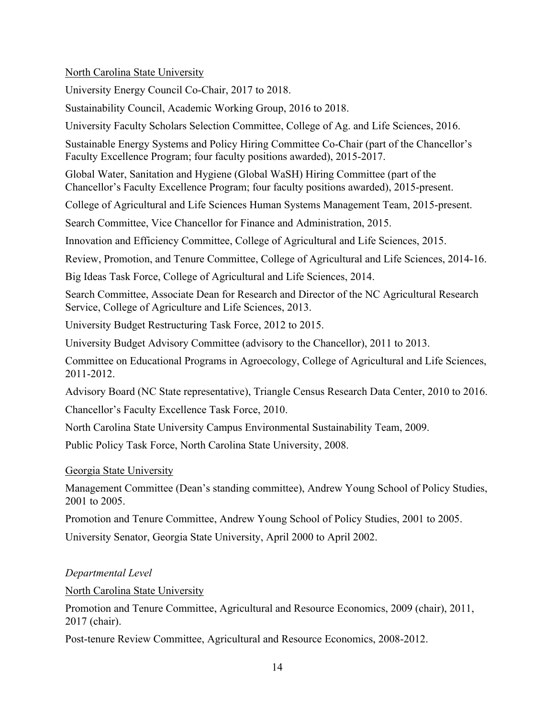North Carolina State University

University Energy Council Co-Chair, 2017 to 2018.

Sustainability Council, Academic Working Group, 2016 to 2018.

University Faculty Scholars Selection Committee, College of Ag. and Life Sciences, 2016.

Sustainable Energy Systems and Policy Hiring Committee Co-Chair (part of the Chancellor's Faculty Excellence Program; four faculty positions awarded), 2015-2017.

Global Water, Sanitation and Hygiene (Global WaSH) Hiring Committee (part of the Chancellor's Faculty Excellence Program; four faculty positions awarded), 2015-present.

College of Agricultural and Life Sciences Human Systems Management Team, 2015-present.

Search Committee, Vice Chancellor for Finance and Administration, 2015.

Innovation and Efficiency Committee, College of Agricultural and Life Sciences, 2015.

Review, Promotion, and Tenure Committee, College of Agricultural and Life Sciences, 2014-16.

Big Ideas Task Force, College of Agricultural and Life Sciences, 2014.

Search Committee, Associate Dean for Research and Director of the NC Agricultural Research Service, College of Agriculture and Life Sciences, 2013.

University Budget Restructuring Task Force, 2012 to 2015.

University Budget Advisory Committee (advisory to the Chancellor), 2011 to 2013.

Committee on Educational Programs in Agroecology, College of Agricultural and Life Sciences, 2011-2012.

Advisory Board (NC State representative), Triangle Census Research Data Center, 2010 to 2016.

Chancellor's Faculty Excellence Task Force, 2010.

North Carolina State University Campus Environmental Sustainability Team, 2009.

Public Policy Task Force, North Carolina State University, 2008.

Georgia State University

Management Committee (Dean's standing committee), Andrew Young School of Policy Studies, 2001 to 2005.

Promotion and Tenure Committee, Andrew Young School of Policy Studies, 2001 to 2005.

University Senator, Georgia State University, April 2000 to April 2002.

*Departmental Level*

North Carolina State University

Promotion and Tenure Committee, Agricultural and Resource Economics, 2009 (chair), 2011, 2017 (chair).

Post-tenure Review Committee, Agricultural and Resource Economics, 2008-2012.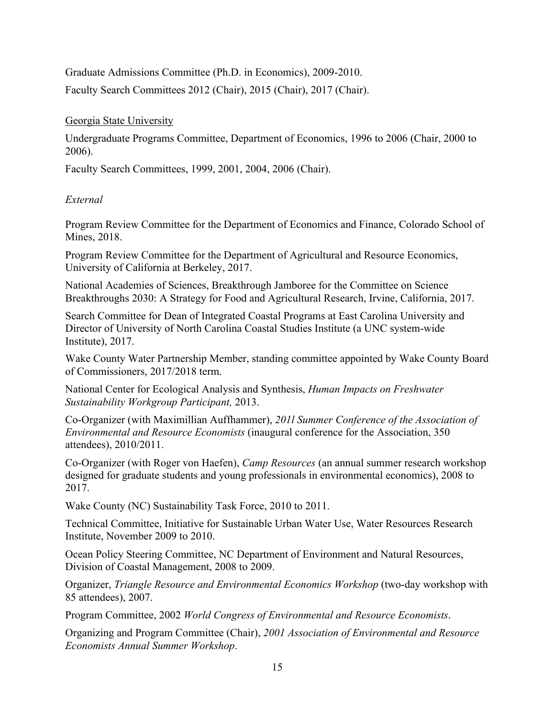Graduate Admissions Committee (Ph.D. in Economics), 2009-2010. Faculty Search Committees 2012 (Chair), 2015 (Chair), 2017 (Chair).

### Georgia State University

Undergraduate Programs Committee, Department of Economics, 1996 to 2006 (Chair, 2000 to 2006).

Faculty Search Committees, 1999, 2001, 2004, 2006 (Chair).

# *External*

Program Review Committee for the Department of Economics and Finance, Colorado School of Mines, 2018.

Program Review Committee for the Department of Agricultural and Resource Economics, University of California at Berkeley, 2017.

National Academies of Sciences, Breakthrough Jamboree for the Committee on Science Breakthroughs 2030: A Strategy for Food and Agricultural Research, Irvine, California, 2017.

Search Committee for Dean of Integrated Coastal Programs at East Carolina University and Director of University of North Carolina Coastal Studies Institute (a UNC system-wide Institute), 2017.

Wake County Water Partnership Member, standing committee appointed by Wake County Board of Commissioners, 2017/2018 term.

National Center for Ecological Analysis and Synthesis, *Human Impacts on Freshwater Sustainability Workgroup Participant,* 2013.

Co-Organizer (with Maximillian Auffhammer), *201l Summer Conference of the Association of Environmental and Resource Economists* (inaugural conference for the Association, 350 attendees), 2010/2011.

Co-Organizer (with Roger von Haefen), *Camp Resources* (an annual summer research workshop designed for graduate students and young professionals in environmental economics), 2008 to 2017.

Wake County (NC) Sustainability Task Force, 2010 to 2011.

Technical Committee, Initiative for Sustainable Urban Water Use, Water Resources Research Institute, November 2009 to 2010.

Ocean Policy Steering Committee, NC Department of Environment and Natural Resources, Division of Coastal Management, 2008 to 2009.

Organizer, *Triangle Resource and Environmental Economics Workshop* (two-day workshop with 85 attendees), 2007.

Program Committee, 2002 *World Congress of Environmental and Resource Economists*.

Organizing and Program Committee (Chair), *2001 Association of Environmental and Resource Economists Annual Summer Workshop*.